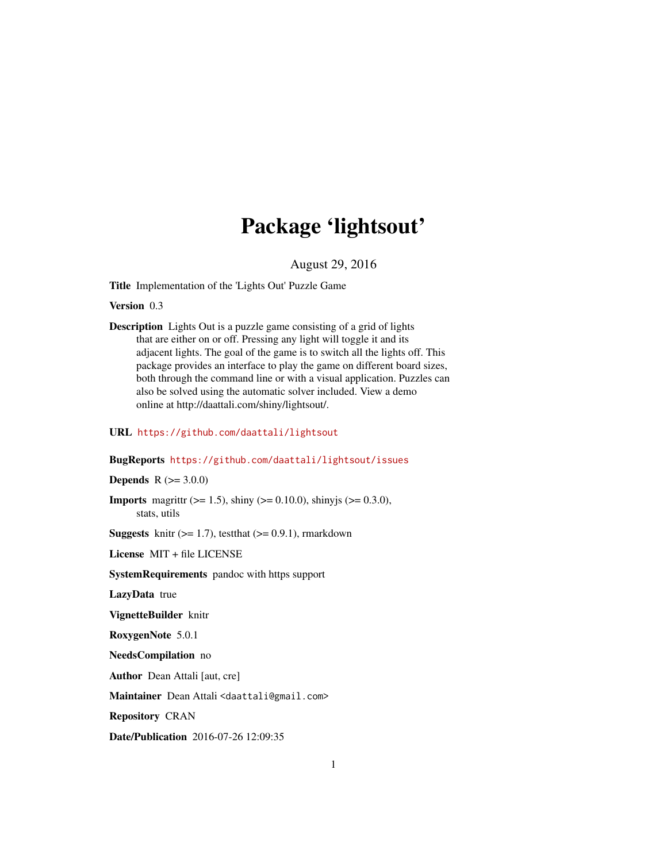# Package 'lightsout'

August 29, 2016

Title Implementation of the 'Lights Out' Puzzle Game

Version 0.3

Description Lights Out is a puzzle game consisting of a grid of lights that are either on or off. Pressing any light will toggle it and its adjacent lights. The goal of the game is to switch all the lights off. This package provides an interface to play the game on different board sizes, both through the command line or with a visual application. Puzzles can also be solved using the automatic solver included. View a demo online at http://daattali.com/shiny/lightsout/.

#### URL <https://github.com/daattali/lightsout>

#### BugReports <https://github.com/daattali/lightsout/issues>

**Depends**  $R (= 3.0.0)$ 

**Imports** magnity ( $>= 1.5$ ), shiny ( $>= 0.10.0$ ), shiny is ( $>= 0.3.0$ ), stats, utils

**Suggests** knitr  $(>= 1.7)$ , test that  $(>= 0.9.1)$ , rmarkdown

License MIT + file LICENSE

SystemRequirements pandoc with https support

LazyData true

VignetteBuilder knitr

RoxygenNote 5.0.1

NeedsCompilation no

Author Dean Attali [aut, cre]

Maintainer Dean Attali <daattali@gmail.com>

Repository CRAN

Date/Publication 2016-07-26 12:09:35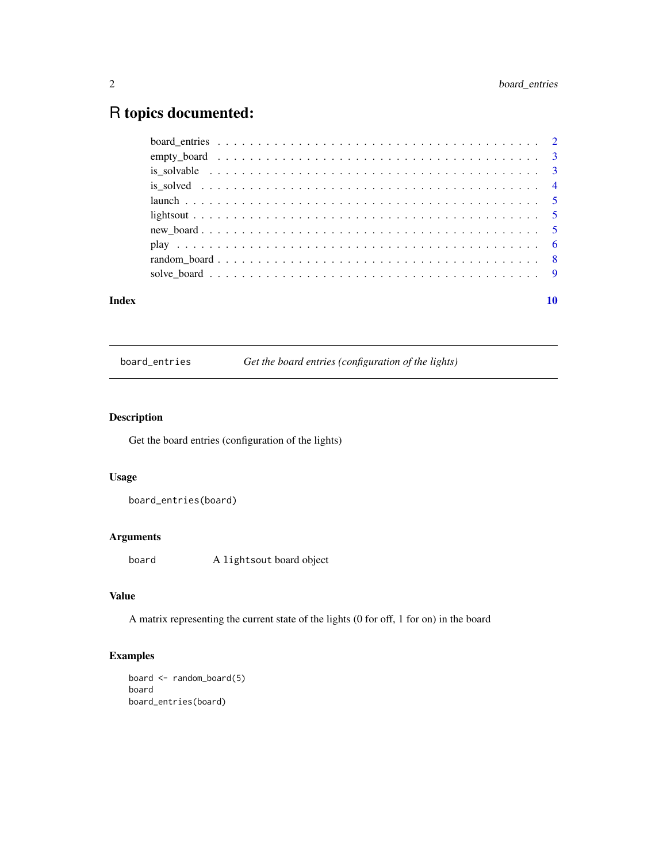## <span id="page-1-0"></span>R topics documented:

| Index |  |  |  |  |  |  |  |  |  |  |  |  |  |  |  |  |  | 10 |
|-------|--|--|--|--|--|--|--|--|--|--|--|--|--|--|--|--|--|----|
|       |  |  |  |  |  |  |  |  |  |  |  |  |  |  |  |  |  |    |
|       |  |  |  |  |  |  |  |  |  |  |  |  |  |  |  |  |  |    |
|       |  |  |  |  |  |  |  |  |  |  |  |  |  |  |  |  |  |    |
|       |  |  |  |  |  |  |  |  |  |  |  |  |  |  |  |  |  |    |
|       |  |  |  |  |  |  |  |  |  |  |  |  |  |  |  |  |  |    |
|       |  |  |  |  |  |  |  |  |  |  |  |  |  |  |  |  |  |    |
|       |  |  |  |  |  |  |  |  |  |  |  |  |  |  |  |  |  |    |
|       |  |  |  |  |  |  |  |  |  |  |  |  |  |  |  |  |  |    |
|       |  |  |  |  |  |  |  |  |  |  |  |  |  |  |  |  |  |    |
|       |  |  |  |  |  |  |  |  |  |  |  |  |  |  |  |  |  |    |

board\_entries *Get the board entries (configuration of the lights)*

#### Description

Get the board entries (configuration of the lights)

#### Usage

board\_entries(board)

#### Arguments

board A lightsout board object

#### Value

A matrix representing the current state of the lights (0 for off, 1 for on) in the board

#### Examples

```
board <- random_board(5)
board
board_entries(board)
```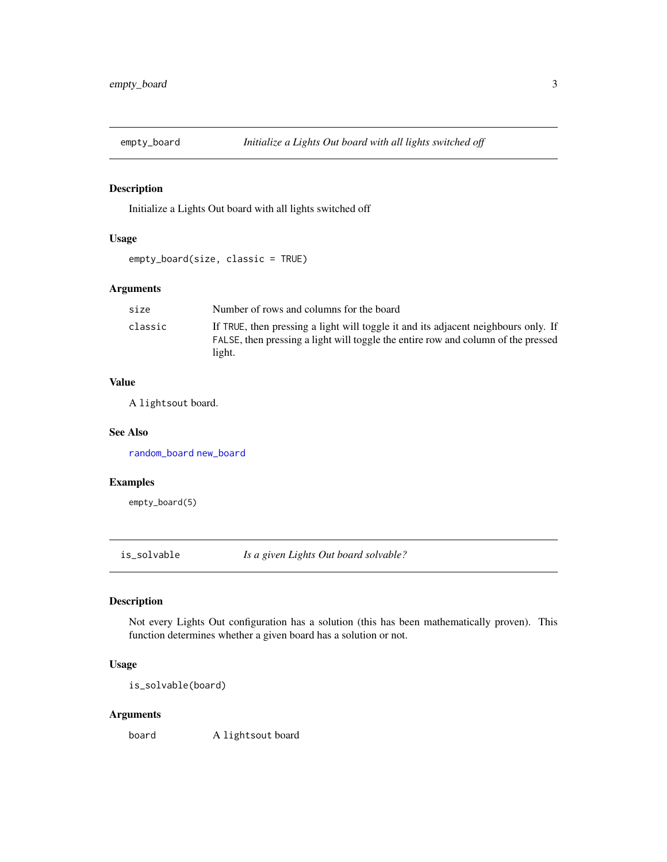<span id="page-2-2"></span><span id="page-2-0"></span>

#### Description

Initialize a Lights Out board with all lights switched off

#### Usage

```
empty_board(size, classic = TRUE)
```
#### Arguments

| size    | Number of rows and columns for the board                                                                                                                                |
|---------|-------------------------------------------------------------------------------------------------------------------------------------------------------------------------|
| classic | If TRUE, then pressing a light will toggle it and its adjacent neighbours only. If<br>FALSE, then pressing a light will toggle the entire row and column of the pressed |
|         | light.                                                                                                                                                                  |

#### Value

A lightsout board.

#### See Also

[random\\_board](#page-7-1) [new\\_board](#page-4-1)

#### Examples

empty\_board(5)

<span id="page-2-1"></span>is\_solvable *Is a given Lights Out board solvable?*

#### Description

Not every Lights Out configuration has a solution (this has been mathematically proven). This function determines whether a given board has a solution or not.

#### Usage

is\_solvable(board)

#### Arguments

board A lightsout board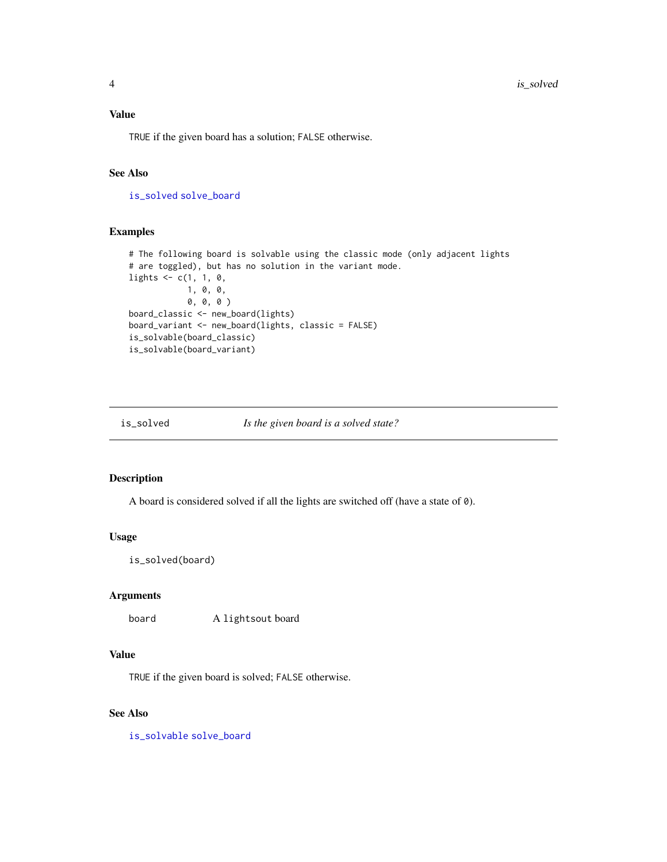#### <span id="page-3-0"></span>Value

TRUE if the given board has a solution; FALSE otherwise.

#### See Also

[is\\_solved](#page-3-1) [solve\\_board](#page-8-1)

#### Examples

```
# The following board is solvable using the classic mode (only adjacent lights
# are toggled), but has no solution in the variant mode.
lights \leq c(1, 1, 0,1, 0, 0,
            0, 0, 0 )
board_classic <- new_board(lights)
board_variant <- new_board(lights, classic = FALSE)
is_solvable(board_classic)
is_solvable(board_variant)
```
<span id="page-3-1"></span>

```
is_solved Is the given board is a solved state?
```
#### **Description**

A board is considered solved if all the lights are switched off (have a state of 0).

#### Usage

is\_solved(board)

#### Arguments

board A lightsout board

#### Value

TRUE if the given board is solved; FALSE otherwise.

#### See Also

[is\\_solvable](#page-2-1) [solve\\_board](#page-8-1)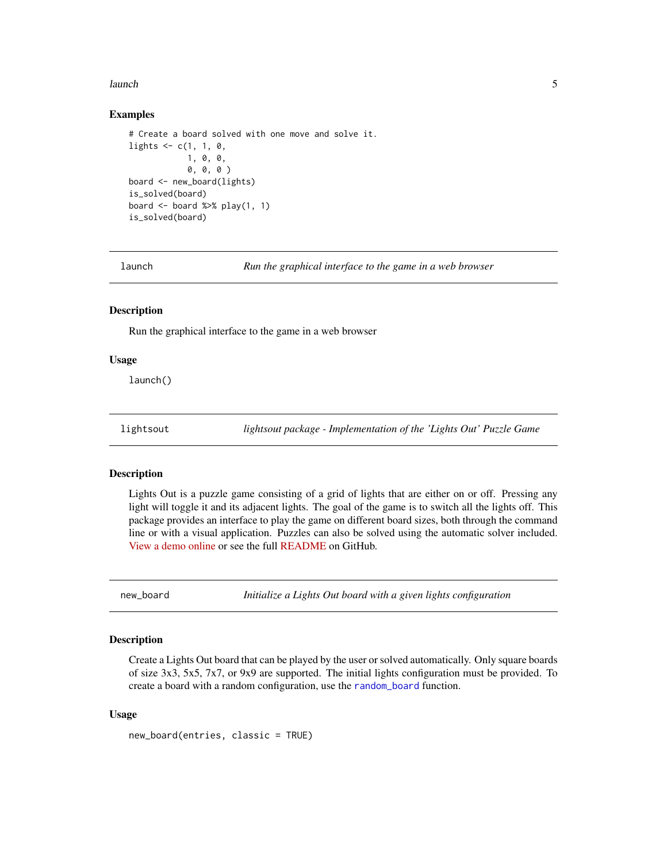#### <span id="page-4-0"></span>launch 5 anns 2012 anns 2014 anns 2014 anns 2014 anns 2014 anns 2014 anns 2014 anns 2014 anns 2014 anns 2014 a

#### Examples

```
# Create a board solved with one move and solve it.
lights \leq c(1, 1, 0,1, 0, 0,
            0, 0, 0 )
board <- new_board(lights)
is_solved(board)
board <- board %>% play(1, 1)
is_solved(board)
```
launch *Run the graphical interface to the game in a web browser*

#### **Description**

Run the graphical interface to the game in a web browser

#### Usage

launch()

lightsout *lightsout package - Implementation of the 'Lights Out' Puzzle Game*

#### Description

Lights Out is a puzzle game consisting of a grid of lights that are either on or off. Pressing any light will toggle it and its adjacent lights. The goal of the game is to switch all the lights off. This package provides an interface to play the game on different board sizes, both through the command line or with a visual application. Puzzles can also be solved using the automatic solver included. [View a demo online](http://daattali.com/shiny/lightsout/) or see the full [README](https://github.com/daattali/lightsout) on GitHub.

<span id="page-4-1"></span>new\_board *Initialize a Lights Out board with a given lights configuration*

#### **Description**

Create a Lights Out board that can be played by the user or solved automatically. Only square boards of size 3x3, 5x5, 7x7, or 9x9 are supported. The initial lights configuration must be provided. To create a board with a random configuration, use the [random\\_board](#page-7-1) function.

#### Usage

new\_board(entries, classic = TRUE)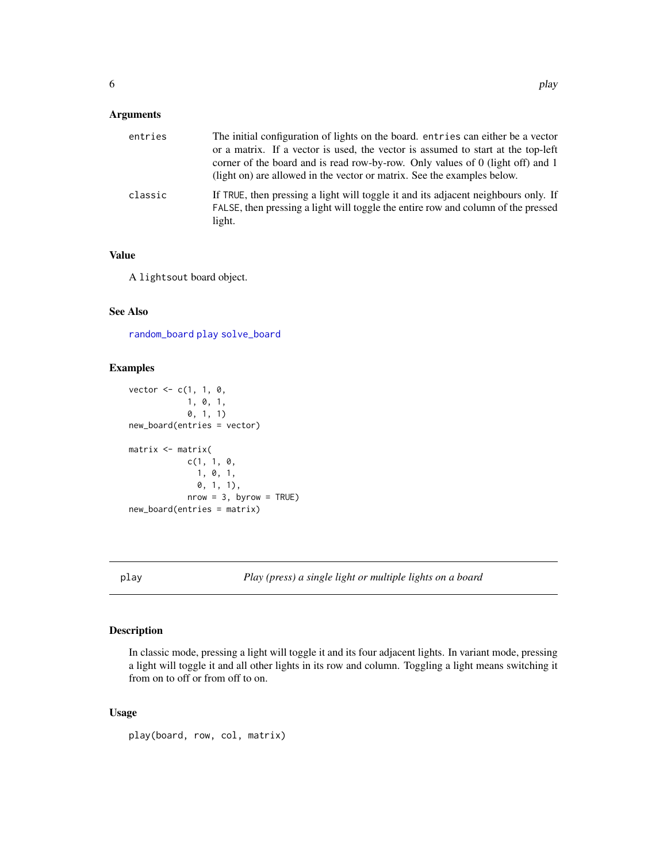#### <span id="page-5-0"></span>Arguments

| entries | The initial configuration of lights on the board, entries can either be a vector<br>or a matrix. If a vector is used, the vector is assumed to start at the top-left<br>corner of the board and is read row-by-row. Only values of 0 (light off) and 1<br>(light on) are allowed in the vector or matrix. See the examples below. |
|---------|-----------------------------------------------------------------------------------------------------------------------------------------------------------------------------------------------------------------------------------------------------------------------------------------------------------------------------------|
| classic | If TRUE, then pressing a light will toggle it and its adjacent neighbours only. If<br>FALSE, then pressing a light will toggle the entire row and column of the pressed<br>light.                                                                                                                                                 |

#### Value

A lightsout board object.

### See Also

[random\\_board](#page-7-1) [play](#page-5-1) [solve\\_board](#page-8-1)

#### Examples

```
vector <- c(1, 1, 0,
           1, 0, 1,
            0, 1, 1)
new_board(entries = vector)
matrix <- matrix(
            c(1, 1, 0,1, 0, 1,
              0, 1, 1),
            nrow = 3, byrow = TRUE)
new_board(entries = matrix)
```
<span id="page-5-1"></span>play *Play (press) a single light or multiple lights on a board*

#### Description

In classic mode, pressing a light will toggle it and its four adjacent lights. In variant mode, pressing a light will toggle it and all other lights in its row and column. Toggling a light means switching it from on to off or from off to on.

#### Usage

```
play(board, row, col, matrix)
```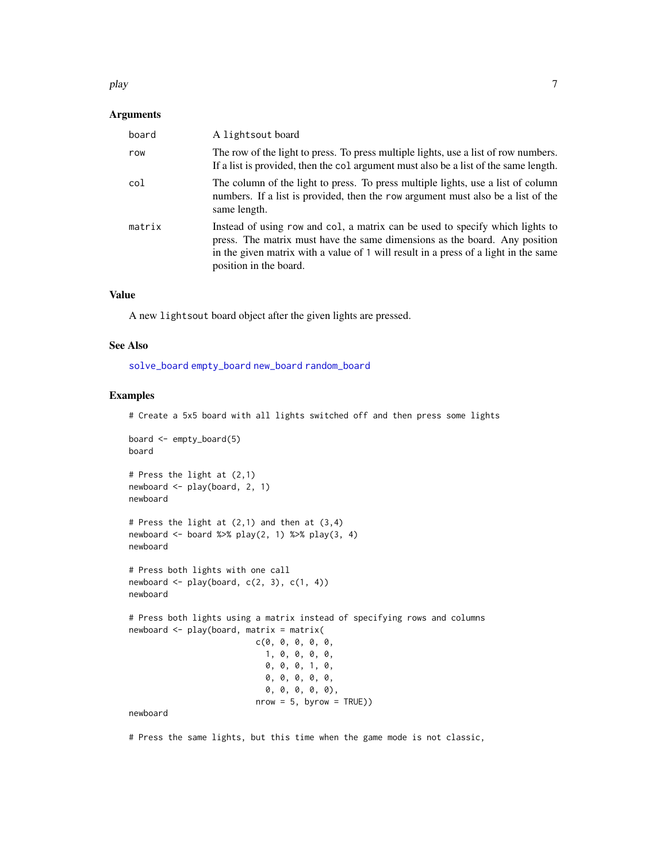#### <span id="page-6-0"></span>play the contract of the contract of the contract of the contract of the contract of the contract of the contract of the contract of the contract of the contract of the contract of the contract of the contract of the contr

#### Arguments

| board  | A lightsout board                                                                                                                                                                                                                                                            |
|--------|------------------------------------------------------------------------------------------------------------------------------------------------------------------------------------------------------------------------------------------------------------------------------|
| row    | The row of the light to press. To press multiple lights, use a list of row numbers.<br>If a list is provided, then the col argument must also be a list of the same length.                                                                                                  |
| col    | The column of the light to press. To press multiple lights, use a list of column<br>numbers. If a list is provided, then the row argument must also be a list of the<br>same length.                                                                                         |
| matrix | Instead of using row and col, a matrix can be used to specify which lights to<br>press. The matrix must have the same dimensions as the board. Any position<br>in the given matrix with a value of 1 will result in a press of a light in the same<br>position in the board. |

#### Value

A new lightsout board object after the given lights are pressed.

#### See Also

[solve\\_board](#page-8-1) [empty\\_board](#page-2-2) [new\\_board](#page-4-1) [random\\_board](#page-7-1)

#### Examples

# Create a 5x5 board with all lights switched off and then press some lights

```
board <- empty_board(5)
board
# Press the light at (2,1)
newboard <- play(board, 2, 1)
newboard
# Press the light at (2,1) and then at (3,4)
newboard \le board %>% play(2, 1) %>% play(3, 4)
newboard
# Press both lights with one call
newboard \leq play(board, c(2, 3), c(1, 4))
newboard
# Press both lights using a matrix instead of specifying rows and columns
newboard <- play(board, matrix = matrix(
                          c(0, 0, 0, 0, 0,
                            1, 0, 0, 0, 0,
                            0, 0, 0, 1, 0,
                            0, 0, 0, 0, 0,
                            0, 0, 0, 0, 0),
                          nrow = 5, byrow = TRUE))
newboard
```
# Press the same lights, but this time when the game mode is not classic,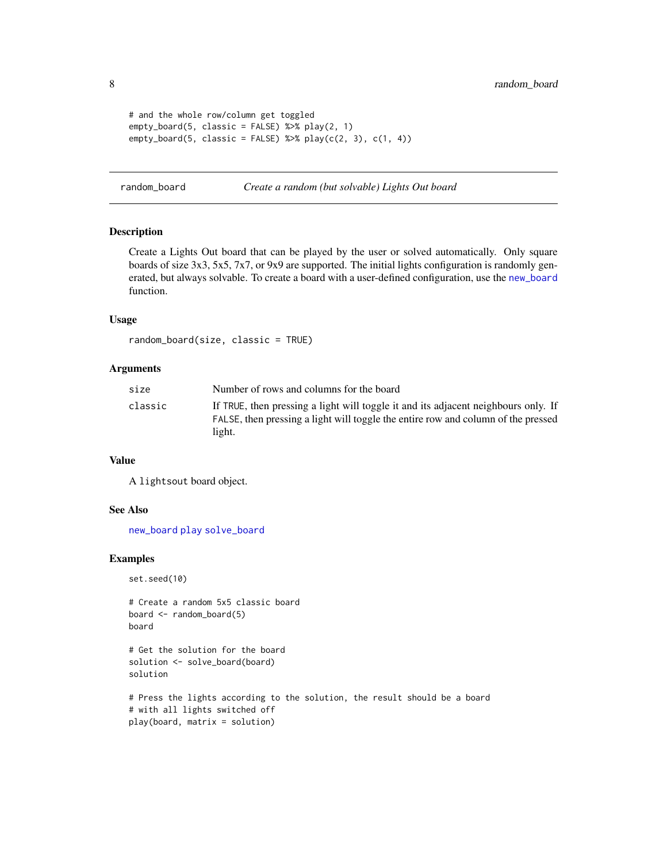```
# and the whole row/column get toggled
empty_board(5, classic = FALSE) %>% play(2, 1)
empty_board(5, classic = FALSE) %\gg% play(c(2, 3), c(1, 4))
```
<span id="page-7-1"></span>random\_board *Create a random (but solvable) Lights Out board*

#### Description

Create a Lights Out board that can be played by the user or solved automatically. Only square boards of size 3x3, 5x5, 7x7, or 9x9 are supported. The initial lights configuration is randomly generated, but always solvable. To create a board with a user-defined configuration, use the [new\\_board](#page-4-1) function.

#### Usage

```
random_board(size, classic = TRUE)
```
#### Arguments

| size    | Number of rows and columns for the board                                                                                                                                          |
|---------|-----------------------------------------------------------------------------------------------------------------------------------------------------------------------------------|
| classic | If TRUE, then pressing a light will toggle it and its adjacent neighbours only. If<br>FALSE, then pressing a light will toggle the entire row and column of the pressed<br>light. |

#### Value

A lightsout board object.

#### See Also

[new\\_board](#page-4-1) [play](#page-5-1) [solve\\_board](#page-8-1)

#### Examples

set.seed(10)

```
# Create a random 5x5 classic board
board <- random_board(5)
board
```

```
# Get the solution for the board
solution <- solve_board(board)
solution
```

```
# Press the lights according to the solution, the result should be a board
# with all lights switched off
play(board, matrix = solution)
```
<span id="page-7-0"></span>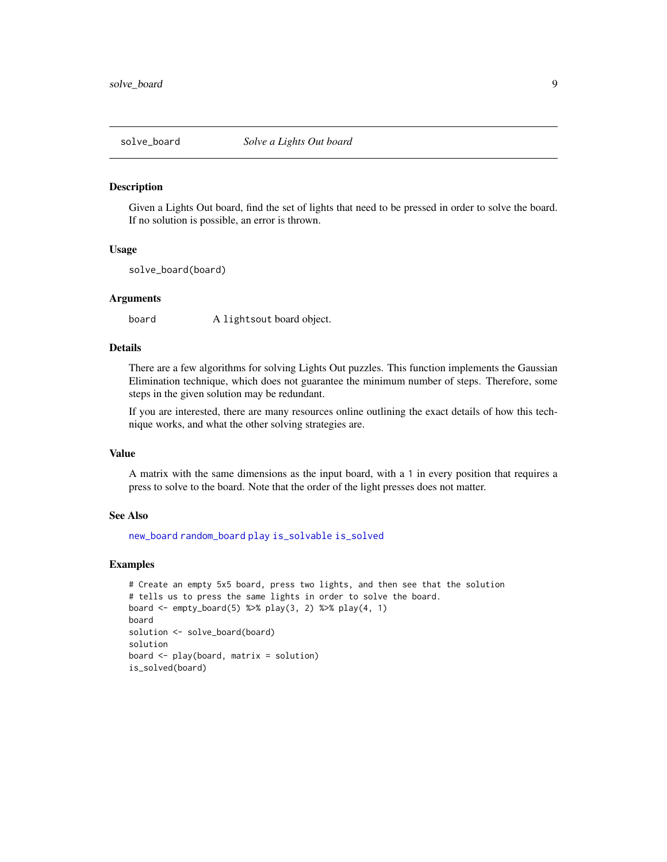<span id="page-8-1"></span><span id="page-8-0"></span>

#### Description

Given a Lights Out board, find the set of lights that need to be pressed in order to solve the board. If no solution is possible, an error is thrown.

#### Usage

solve\_board(board)

#### Arguments

board A lightsout board object.

#### Details

There are a few algorithms for solving Lights Out puzzles. This function implements the Gaussian Elimination technique, which does not guarantee the minimum number of steps. Therefore, some steps in the given solution may be redundant.

If you are interested, there are many resources online outlining the exact details of how this technique works, and what the other solving strategies are.

#### Value

A matrix with the same dimensions as the input board, with a 1 in every position that requires a press to solve to the board. Note that the order of the light presses does not matter.

#### See Also

[new\\_board](#page-4-1) [random\\_board](#page-7-1) [play](#page-5-1) [is\\_solvable](#page-2-1) [is\\_solved](#page-3-1)

#### Examples

```
# Create an empty 5x5 board, press two lights, and then see that the solution
# tells us to press the same lights in order to solve the board.
board <- empty_board(5) %>% play(3, 2) %>% play(4, 1)
board
solution <- solve_board(board)
solution
board <- play(board, matrix = solution)
is_solved(board)
```